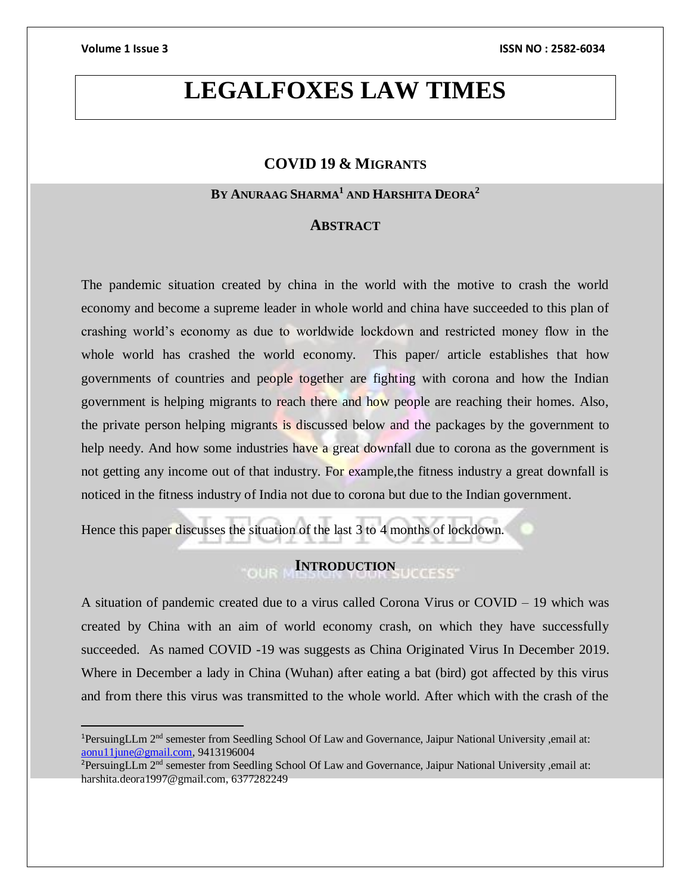$\overline{a}$ 

# **LEGALFOXES LAW TIMES**

# **COVID 19 & MIGRANTS**

# **BY ANURAAG SHARMA<sup>1</sup> AND HARSHITA DEORA<sup>2</sup>**

## **ABSTRACT**

The pandemic situation created by china in the world with the motive to crash the world economy and become a supreme leader in whole world and china have succeeded to this plan of crashing world's economy as due to worldwide lockdown and restricted money flow in the whole world has crashed the world economy. This paper/ article establishes that how governments of countries and people together are fighting with corona and how the Indian government is helping migrants to reach there and how people are reaching their homes. Also, the private person helping migrants is discussed below and the packages by the government to help needy. And how some industries have a great downfall due to corona as the government is not getting any income out of that industry. For example, the fitness industry a great downfall is noticed in the fitness industry of India not due to corona but due to the Indian government.

Hence this paper discusses the situation of the last 3 to 4 months of lockdown.

# **INTRODUCTION**

A situation of pandemic created due to a virus called Corona Virus or COVID – 19 which was created by China with an aim of world economy crash, on which they have successfully succeeded. As named COVID -19 was suggests as China Originated Virus In December 2019. Where in December a lady in China (Wuhan) after eating a bat (bird) got affected by this virus and from there this virus was transmitted to the whole world. After which with the crash of the

<sup>1</sup>PersuingLLm 2nd semester from Seedling School Of Law and Governance, Jaipur National University ,email at: [aonu11june@gmail.com,](mailto:aonu11june@gmail.com) 9413196004

<sup>&</sup>lt;sup>2</sup>PersuingLLm 2<sup>nd</sup> semester from Seedling School Of Law and Governance, Jaipur National University ,email at: harshita.deora1997@gmail.com, 6377282249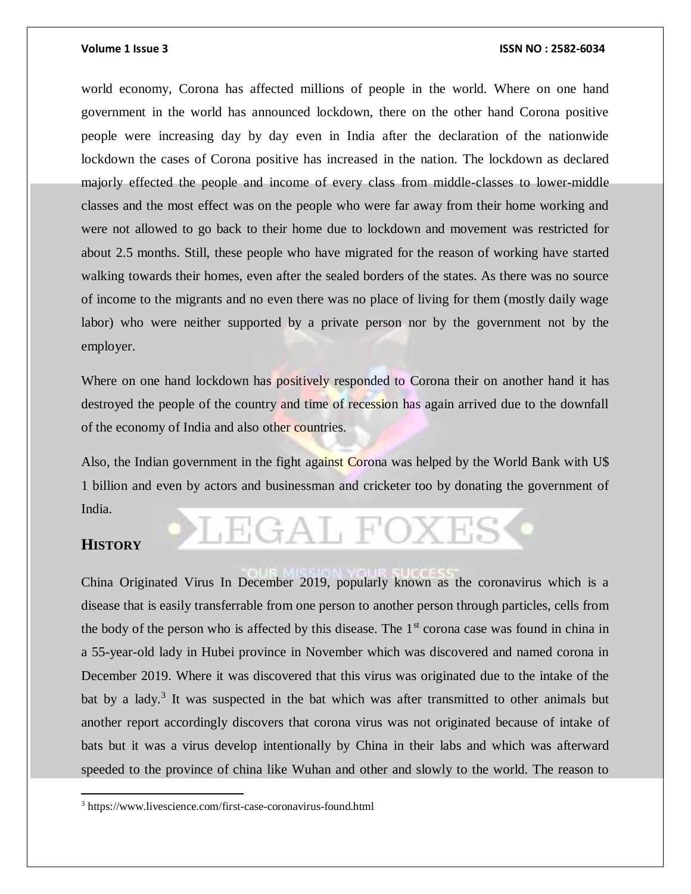world economy, Corona has affected millions of people in the world. Where on one hand government in the world has announced lockdown, there on the other hand Corona positive people were increasing day by day even in India after the declaration of the nationwide lockdown the cases of Corona positive has increased in the nation. The lockdown as declared majorly effected the people and income of every class from middle-classes to lower-middle classes and the most effect was on the people who were far away from their home working and were not allowed to go back to their home due to lockdown and movement was restricted for about 2.5 months. Still, these people who have migrated for the reason of working have started walking towards their homes, even after the sealed borders of the states. As there was no source of income to the migrants and no even there was no place of living for them (mostly daily wage labor) who were neither supported by a private person nor by the government not by the employer.

Where on one hand lockdown has positively responded to Corona their on another hand it has destroyed the people of the country and time of recession has again arrived due to the downfall of the economy of India and also other countries.

Also, the Indian government in the fight against Corona was helped by the World Bank with U\$ 1 billion and even by actors and businessman and cricketer too by donating the government of India.

LEGAL FOXE

## **HISTORY**

 $\overline{a}$ 

China Originated Virus In December 2019, popularly known as the coronavirus which is a disease that is easily transferrable from one person to another person through particles, cells from the body of the person who is affected by this disease. The  $1<sup>st</sup>$  corona case was found in china in a 55-year-old lady in Hubei province in November which was discovered and named corona in December 2019. Where it was discovered that this virus was originated due to the intake of the bat by a lady.<sup>3</sup> It was suspected in the bat which was after transmitted to other animals but another report accordingly discovers that corona virus was not originated because of intake of bats but it was a virus develop intentionally by China in their labs and which was afterward speeded to the province of china like Wuhan and other and slowly to the world. The reason to

<sup>3</sup> https://www.livescience.com/first-case-coronavirus-found.html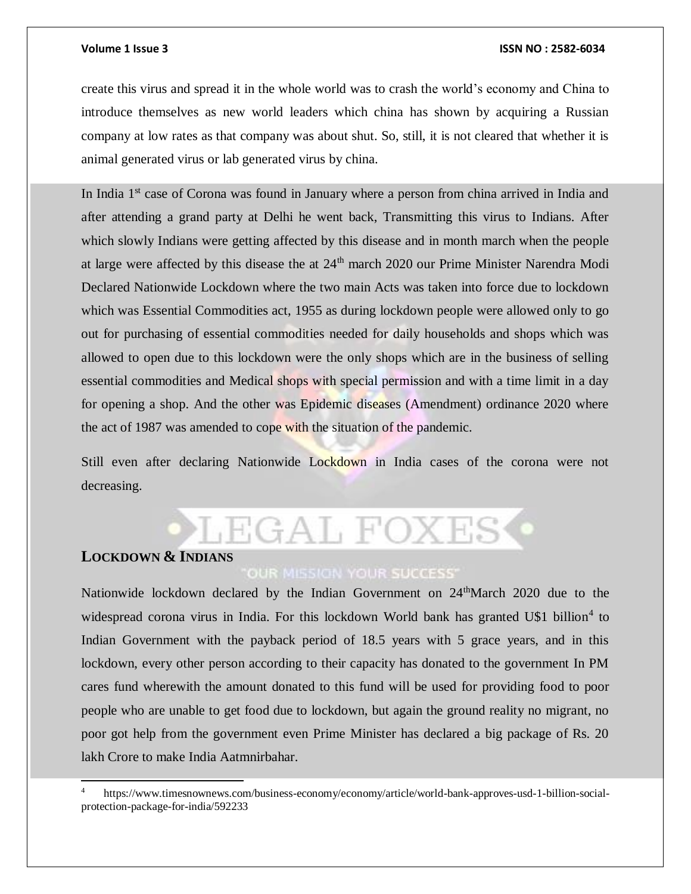create this virus and spread it in the whole world was to crash the world's economy and China to introduce themselves as new world leaders which china has shown by acquiring a Russian company at low rates as that company was about shut. So, still, it is not cleared that whether it is animal generated virus or lab generated virus by china.

In India 1<sup>st</sup> case of Corona was found in January where a person from china arrived in India and after attending a grand party at Delhi he went back, Transmitting this virus to Indians. After which slowly Indians were getting affected by this disease and in month march when the people at large were affected by this disease the at 24<sup>th</sup> march 2020 our Prime Minister Narendra Modi Declared Nationwide Lockdown where the two main Acts was taken into force due to lockdown which was Essential Commodities act, 1955 as during lockdown people were allowed only to go out for purchasing of essential commodities needed for daily households and shops which was allowed to open due to this lockdown were the only shops which are in the business of selling essential commodities and Medical shops with special permission and with a time limit in a day for opening a shop. And the other was Epidemic diseases (Amendment) ordinance 2020 where the act of 1987 was amended to cope with the situation of the pandemic.

Still even after declaring Nationwide Lockdown in India cases of the corona were not decreasing.

# LEGAL FOXES

# **LOCKDOWN & INDIANS**

l

# **OUR MISSION YOUR SUCCESS'**

Nationwide lockdown declared by the Indian Government on 24<sup>th</sup>March 2020 due to the widespread corona virus in India. For this lockdown World bank has granted U\$1 billion<sup>4</sup> to Indian Government with the payback period of 18.5 years with 5 grace years, and in this lockdown, every other person according to their capacity has donated to the government In PM cares fund wherewith the amount donated to this fund will be used for providing food to poor people who are unable to get food due to lockdown, but again the ground reality no migrant, no poor got help from the government even Prime Minister has declared a big package of Rs. 20 lakh Crore to make India Aatmnirbahar.

<sup>4</sup> https://www.timesnownews.com/business-economy/economy/article/world-bank-approves-usd-1-billion-socialprotection-package-for-india/592233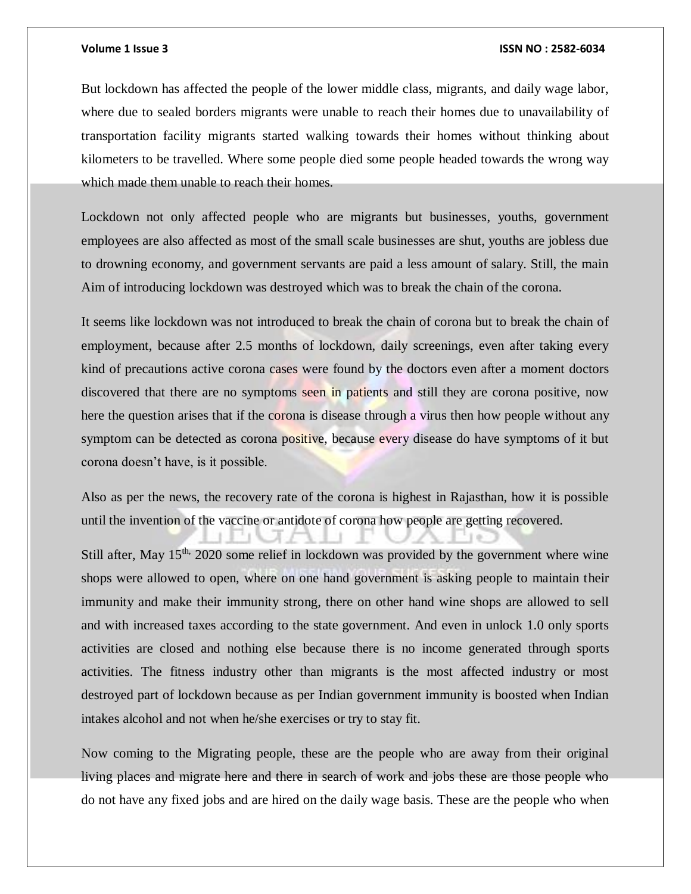But lockdown has affected the people of the lower middle class, migrants, and daily wage labor, where due to sealed borders migrants were unable to reach their homes due to unavailability of transportation facility migrants started walking towards their homes without thinking about kilometers to be travelled. Where some people died some people headed towards the wrong way which made them unable to reach their homes.

Lockdown not only affected people who are migrants but businesses, youths, government employees are also affected as most of the small scale businesses are shut, youths are jobless due to drowning economy, and government servants are paid a less amount of salary. Still, the main Aim of introducing lockdown was destroyed which was to break the chain of the corona.

It seems like lockdown was not introduced to break the chain of corona but to break the chain of employment, because after 2.5 months of lockdown, daily screenings, even after taking every kind of precautions active corona cases were found by the doctors even after a moment doctors discovered that there are no symptoms seen in patients and still they are corona positive, now here the question arises that if the corona is disease through a virus then how people without any symptom can be detected as corona positive, because every disease do have symptoms of it but corona doesn't have, is it possible.

Also as per the news, the recovery rate of the corona is highest in Rajasthan, how it is possible until the invention of the vaccine or antidote of corona how people are getting recovered.

Still after, May  $15<sup>th</sup>$ , 2020 some relief in lockdown was provided by the government where wine shops were allowed to open, where on one hand government is asking people to maintain their immunity and make their immunity strong, there on other hand wine shops are allowed to sell and with increased taxes according to the state government. And even in unlock 1.0 only sports activities are closed and nothing else because there is no income generated through sports activities. The fitness industry other than migrants is the most affected industry or most destroyed part of lockdown because as per Indian government immunity is boosted when Indian intakes alcohol and not when he/she exercises or try to stay fit.

Now coming to the Migrating people, these are the people who are away from their original living places and migrate here and there in search of work and jobs these are those people who do not have any fixed jobs and are hired on the daily wage basis. These are the people who when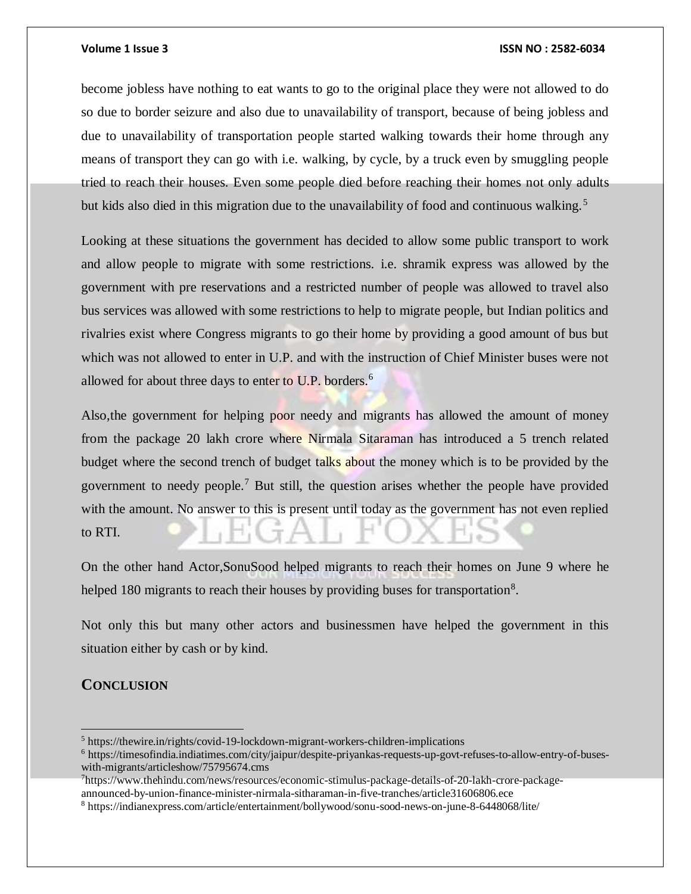become jobless have nothing to eat wants to go to the original place they were not allowed to do so due to border seizure and also due to unavailability of transport, because of being jobless and due to unavailability of transportation people started walking towards their home through any means of transport they can go with i.e. walking, by cycle, by a truck even by smuggling people tried to reach their houses. Even some people died before reaching their homes not only adults but kids also died in this migration due to the unavailability of food and continuous walking.<sup>5</sup>

Looking at these situations the government has decided to allow some public transport to work and allow people to migrate with some restrictions. i.e. shramik express was allowed by the government with pre reservations and a restricted number of people was allowed to travel also bus services was allowed with some restrictions to help to migrate people, but Indian politics and rivalries exist where Congress migrants to go their home by providing a good amount of bus but which was not allowed to enter in U.P. and with the instruction of Chief Minister buses were not allowed for about three days to enter to U.P. borders.<sup>6</sup>

Also,the government for helping poor needy and migrants has allowed the amount of money from the package 20 lakh crore where Nirmala Sitaraman has introduced a 5 trench related budget where the second trench of budget talks about the money which is to be provided by the government to needy people.<sup>7</sup> But still, the question arises whether the people have provided with the amount. No answer to this is present until today as the government has not even replied to RTI.

On the other hand Actor,SonuSood helped migrants to reach their homes on June 9 where he helped 180 migrants to reach their houses by providing buses for transportation $8$ .

Not only this but many other actors and businessmen have helped the government in this situation either by cash or by kind.

# **CONCLUSION**

 $\overline{a}$ 

 $<sup>5</sup>$  https://thewire.in/rights/covid-19-lockdown-migrant-workers-children-implications</sup>

<sup>6</sup> https://timesofindia.indiatimes.com/city/jaipur/despite-priyankas-requests-up-govt-refuses-to-allow-entry-of-buseswith-migrants/articleshow/75795674.cms

<sup>7</sup>https://www.thehindu.com/news/resources/economic-stimulus-package-details-of-20-lakh-crore-packageannounced-by-union-finance-minister-nirmala-sitharaman-in-five-tranches/article31606806.ece

<sup>8</sup> https://indianexpress.com/article/entertainment/bollywood/sonu-sood-news-on-june-8-6448068/lite/